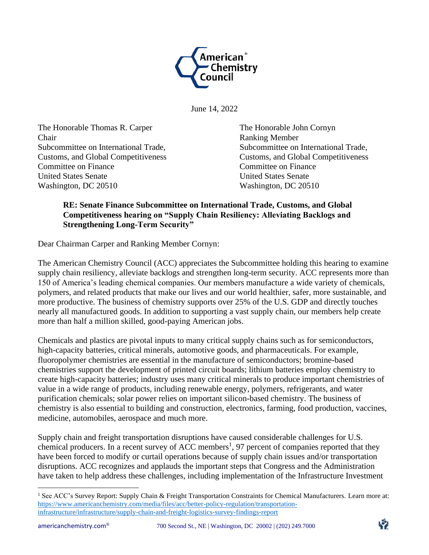

June 14, 2022

The Honorable Thomas R. Carper The Honorable John Cornyn Chair Ranking Member Committee on Finance Committee on Finance United States Senate United States Senate Washington, DC 20510 Washington, DC 20510

Subcommittee on International Trade,<br>
Subcommittee on International Trade, Customs, and Global Competitiveness Customs, and Global Competitiveness

## **RE: Senate Finance Subcommittee on International Trade, Customs, and Global Competitiveness hearing on "Supply Chain Resiliency: Alleviating Backlogs and Strengthening Long-Term Security"**

Dear Chairman Carper and Ranking Member Cornyn:

The American Chemistry Council (ACC) appreciates the Subcommittee holding this hearing to examine supply chain resiliency, alleviate backlogs and strengthen long-term security. ACC represents more than 150 of America's leading chemical companies. Our members manufacture a wide variety of chemicals, polymers, and related products that make our lives and our world healthier, safer, more sustainable, and more productive. The business of chemistry supports over 25% of the U.S. GDP and directly touches nearly all manufactured goods. In addition to supporting a vast supply chain, our members help create more than half a million skilled, good-paying American jobs.

Chemicals and plastics are pivotal inputs to many critical supply chains such as for semiconductors, high-capacity batteries, critical minerals, automotive goods, and pharmaceuticals. For example, fluoropolymer chemistries are essential in the manufacture of semiconductors; bromine-based chemistries support the development of printed circuit boards; lithium batteries employ chemistry to create high-capacity batteries; industry uses many critical minerals to produce important chemistries of value in a wide range of products, including renewable energy, polymers, refrigerants, and water purification chemicals; solar power relies on important silicon-based chemistry. The business of chemistry is also essential to building and construction, electronics, farming, food production, vaccines, medicine, automobiles, aerospace and much more.

Supply chain and freight transportation disruptions have caused considerable challenges for U.S. chemical producers. In a recent survey of ACC members<sup>1</sup>, 97 percent of companies reported that they have been forced to modify or curtail operations because of supply chain issues and/or transportation disruptions. ACC recognizes and applauds the important steps that Congress and the Administration have taken to help address these challenges, including implementation of the Infrastructure Investment



<sup>&</sup>lt;sup>1</sup> See ACC's Survey Report: Supply Chain & Freight Transportation Constraints for Chemical Manufacturers. Learn more at: [https://www.americanchemistry.com/media/files/acc/better-policy-regulation/transportation](https://www.americanchemistry.com/media/files/acc/better-policy-regulation/transportation-infrastructure/infrastructure/supply-chain-and-freight-logistics-survey-findings-report)[infrastructure/infrastructure/supply-chain-and-freight-logistics-survey-findings-report](https://www.americanchemistry.com/media/files/acc/better-policy-regulation/transportation-infrastructure/infrastructure/supply-chain-and-freight-logistics-survey-findings-report)